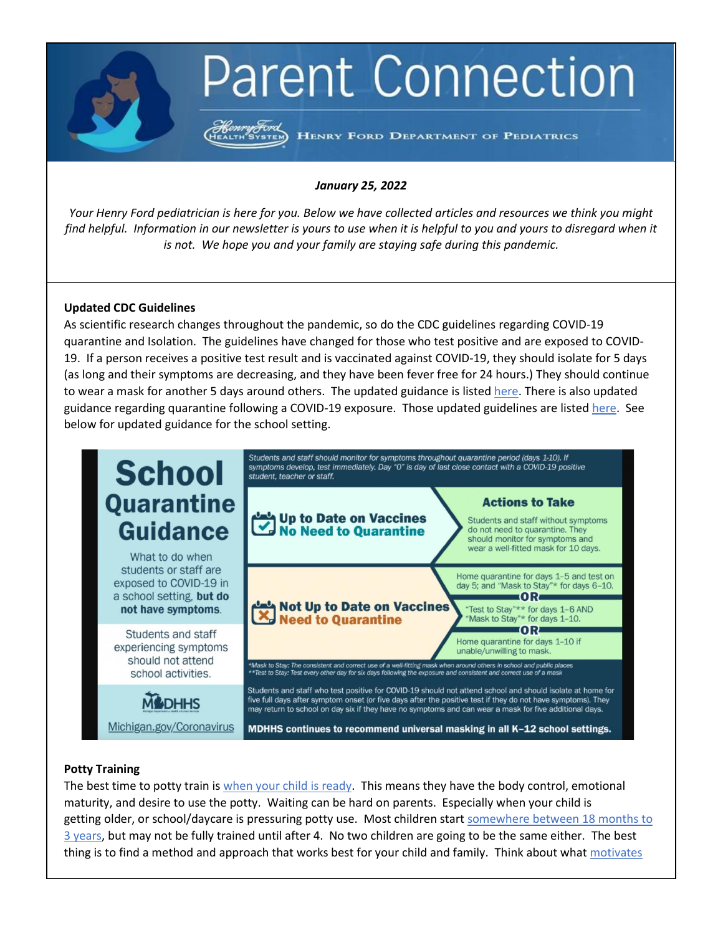# **Parent Connection**

Henry Ford<br>EALTH SYSTEM HENRY FORD DEPARTMENT OF PEDIATRICS

## *January 25, 2022*

*Your Henry Ford pediatrician is here for you. Below we have collected articles and resources we think you might find helpful. Information in our newsletter is yours to use when it is helpful to you and yours to disregard when it is not. We hope you and your family are staying safe during this pandemic.*

## **Updated CDC Guidelines**

As scientific research changes throughout the pandemic, so do the CDC guidelines regarding COVID-19 quarantine and Isolation. The guidelines have changed for those who test positive and are exposed to COVID-19. If a person receives a positive test result and is vaccinated against COVID-19, they should isolate for 5 days (as long and their symptoms are decreasing, and they have been fever free for 24 hours.) They should continue to wear a mask for another 5 days around others. The updated guidance is listed [here.](https://www.cdc.gov/media/releases/2021/s1227-isolation-quarantine-guidance.html) There is also updated guidance regarding quarantine following a COVID-19 exposure. Those updated guidelines are listed [here.](https://www.cdc.gov/coronavirus/2019-ncov/community/schools-childcare/k-12-contact-tracing/about-quarantine.html) See below for updated guidance for the school setting.



#### **Potty Training**

The best time to potty train is [when your child is ready.](https://www.mayoclinic.org/healthy-lifestyle/infant-and-toddler-health/in-depth/potty-training/art-20045230#:~:text=Potty%20training%20success%20hinges%20on,There) This means they have the body control, emotional maturity, and desire to use the potty. Waiting can be hard on parents. Especially when your child is getting older, or school/daycare is pressuring potty use. Most children start [somewhere between 18 months to](https://www.healthline.com/health/parenting/average-age-for-potty-training#readiness-signs)  [3 years,](https://www.healthline.com/health/parenting/average-age-for-potty-training#readiness-signs) but may not be fully trained until after 4. No two children are going to be the same either. The best thing is to find a method and approach that works best for your child and family. Think about what [motivates](https://www.babycenter.com/toddler/potty-training/what-motivation-research-can-teach-us-about-potty-training_40006174)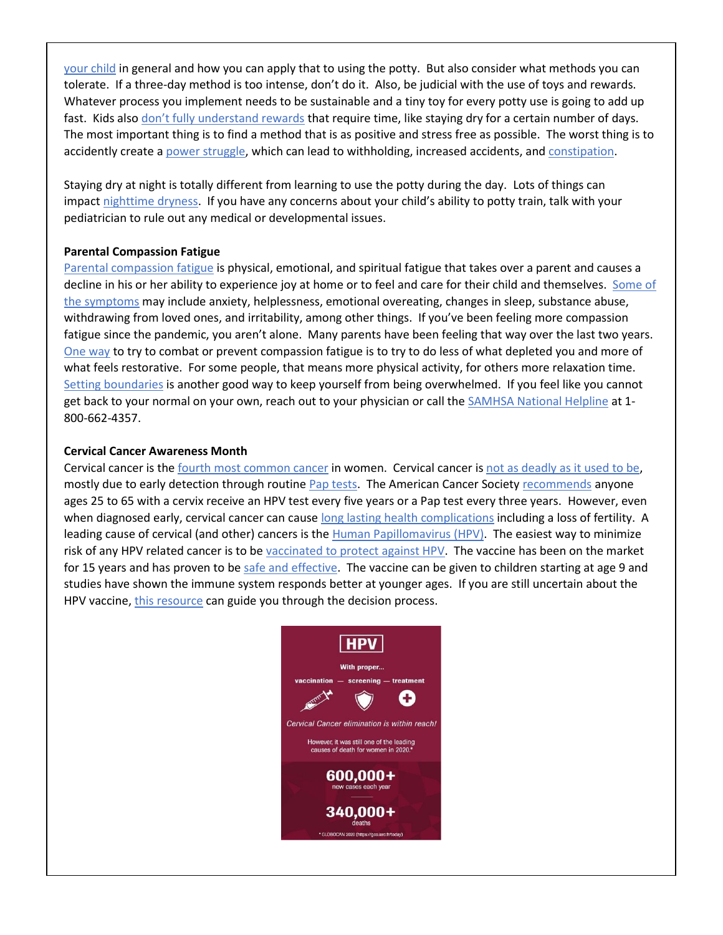[your child](https://www.babycenter.com/toddler/potty-training/what-motivation-research-can-teach-us-about-potty-training_40006174) in general and how you can apply that to using the potty. But also consider what methods you can tolerate. If a three-day method is too intense, don't do it. Also, be judicial with the use of toys and rewards. Whatever process you implement needs to be sustainable and a tiny toy for every potty use is going to add up fast. Kids also [don't fully understand rewards](https://www.popsugar.com/family/are-potty-training-rewards-good-or-bad-47683015) that require time, like staying dry for a certain number of days. The most important thing is to find a method that is as positive and stress free as possible. The worst thing is to accidently create a [power struggle,](https://www.parentalquestions.com/potty-training-power-struggle/) which can lead to withholding, increased accidents, an[d constipation.](https://www.mayoclinic.org/diseases-conditions/constipation-in-children/symptoms-causes/syc-20354242)

Staying dry at night is totally different from learning to use the potty during the day. Lots of things can impact [nighttime dryness.](https://www.healthychildren.org/English/ages-stages/toddler/toilet-training/Pages/Bedwetting.aspx) If you have any concerns about your child's ability to potty train, talk with your pediatrician to rule out any medical or developmental issues.

# **Parental Compassion Fatigue**

Parental [compassion fatigue](https://www.embarkbh.com/blog/parental-compassion-fatigue-your-mental-health-helping-neednt-hurt-during-the-pandemic/) is physical, emotional, and spiritual fatigue that takes over a parent and causes a decline in his or her ability to experience joy at home or to feel and care for their child and themselves. [Some of](https://www.parents.com/parenting/better-parenting/parental-compassion-symptoms-causes-help/)  [the symptoms](https://www.parents.com/parenting/better-parenting/parental-compassion-symptoms-causes-help/) may include anxiety, helplessness, emotional overeating, changes in sleep, substance abuse, withdrawing from loved ones, and irritability, among other things. If you've been feeling more compassion fatigue since the pandemic, you aren't alone. Many parents have been feeling that way over the last two years. [One way](https://www.fatherly.com/love-money/what-is-compassion-fatigue-parents-caretakers-help/) to try to combat or prevent compassion fatigue is to try to do less of what depleted you and more of what feels restorative. For some people, that means more physical activity, for others more relaxation time. [Setting boundaries](https://positivepsychology.com/great-self-care-setting-healthy-boundaries/) is another good way to keep yourself from being overwhelmed. If you feel like you cannot get back to your normal on your own, reach out to your physician or call the [SAMHSA National Helpline](https://www.samhsa.gov/) at 1-800-662-4357.

# **Cervical Cancer Awareness Month**

Cervical cancer is the [fourth most common cancer](https://www.who.int/health-topics/cervical-cancer#tab=tab_1) in women. Cervical cancer is [not as deadly as it used to be,](https://www.healthline.com/health/cervical-cancer/can-you-die-from-cervical-cancer#stage-at-diagnosis) mostly due to early detection through routine [Pap tests.](https://www.cancer.gov/publications/dictionaries/cancer-terms/def/pap-test) The American Cancer Society [recommends](https://www.cancer.gov/news-events/cancer-currents-blog/2020/cervical-cancer-screening-hpv-test-guideline#:~:text=ACS%20recommends%20cervical%20cancer%20screening,Pap%20test%20every%203%20years.) anyone ages 25 to 65 with a cervix receive an HPV test every five years or a Pap test every three years. However, even when diagnosed early, cervical cancer can cause long [lasting health complications](https://www.cancer.org/cancer/cervical-cancer/after-treatment/follow-up.html) including a loss of fertility. A leading cause of cervical (and other) cancers is the [Human Papillomavirus \(HPV\).](https://www.cdc.gov/hpv/parents/cancer.html) The easiest way to minimize risk of any HPV related cancer is to be [vaccinated to protect against HPV.](https://www.cdc.gov/hpv/parents/vaccine-for-hpv.html) The vaccine has been on the market for 15 years and has proven to be safe and [effective.](https://www.cdc.gov/vaccines/partners/downloads/teens/vaccine-safety.pdf) The vaccine can be given to children starting at age 9 and studies have shown the immune system responds better at younger ages. If you are still uncertain about the HPV vaccine, [this resource](https://www.uofmhealth.org/health-library/uz2098) can guide you through the decision process.